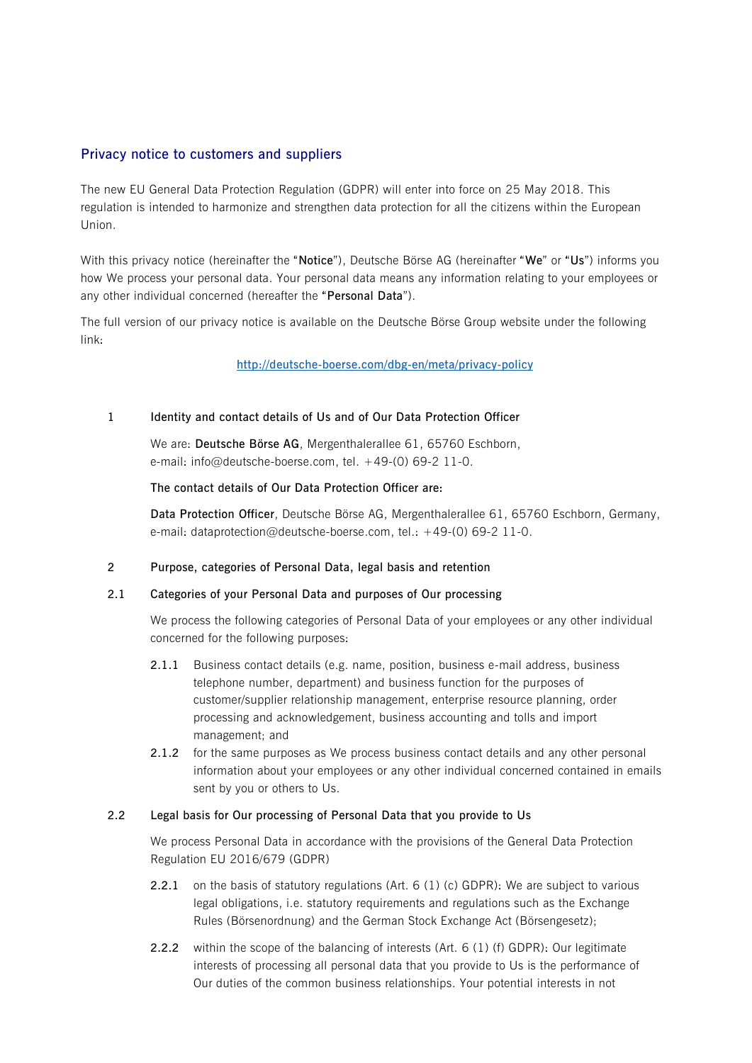# **Privacy notice to customers and suppliers**

The new EU General Data Protection Regulation (GDPR) will enter into force on 25 May 2018. This regulation is intended to harmonize and strengthen data protection for all the citizens within the European Union.

With this privacy notice (hereinafter the "**Notice**"), Deutsche Börse AG (hereinafter "**We**" or "**Us**") informs you how We process your personal data. Your personal data means any information relating to your employees or any other individual concerned (hereafter the "**Personal Data**").

The full version of our privacy notice is available on the Deutsche Börse Group website under the following link:

# **<http://deutsche-boerse.com/dbg-en/meta/privacy-policy>**

# **1 Identity and contact details of Us and of Our Data Protection Officer**

We are: **Deutsche Börse AG**, Mergenthalerallee 61, 65760 Eschborn, e-mail: info@deutsche-boerse.com, tel. +49-(0) 69-2 11-0.

#### **The contact details of Our Data Protection Officer are:**

**Data Protection Officer**, Deutsche Börse AG, Mergenthalerallee 61, 65760 Eschborn, Germany, e-mail: dataprotection@deutsche-boerse.com, tel.: +49-(0) 69-2 11-0.

#### **2 Purpose, categories of Personal Data, legal basis and retention**

#### **2.1 Categories of your Personal Data and purposes of Our processing**

We process the following categories of Personal Data of your employees or any other individual concerned for the following purposes:

- **2.1.1** Business contact details (e.g. name, position, business e-mail address, business telephone number, department) and business function for the purposes of customer/supplier relationship management, enterprise resource planning, order processing and acknowledgement, business accounting and tolls and import management; and
- **2.1.2** for the same purposes as We process business contact details and any other personal information about your employees or any other individual concerned contained in emails sent by you or others to Us.

### **2.2 Legal basis for Our processing of Personal Data that you provide to Us**

We process Personal Data in accordance with the provisions of the General Data Protection Regulation EU 2016/679 (GDPR)

- **2.2.1** on the basis of statutory regulations (Art. 6 (1) (c) GDPR): We are subject to various legal obligations, i.e. statutory requirements and regulations such as the Exchange Rules (Börsenordnung) and the German Stock Exchange Act (Börsengesetz);
- **2.2.2** within the scope of the balancing of interests (Art. 6 (1) (f) GDPR): Our legitimate interests of processing all personal data that you provide to Us is the performance of Our duties of the common business relationships. Your potential interests in not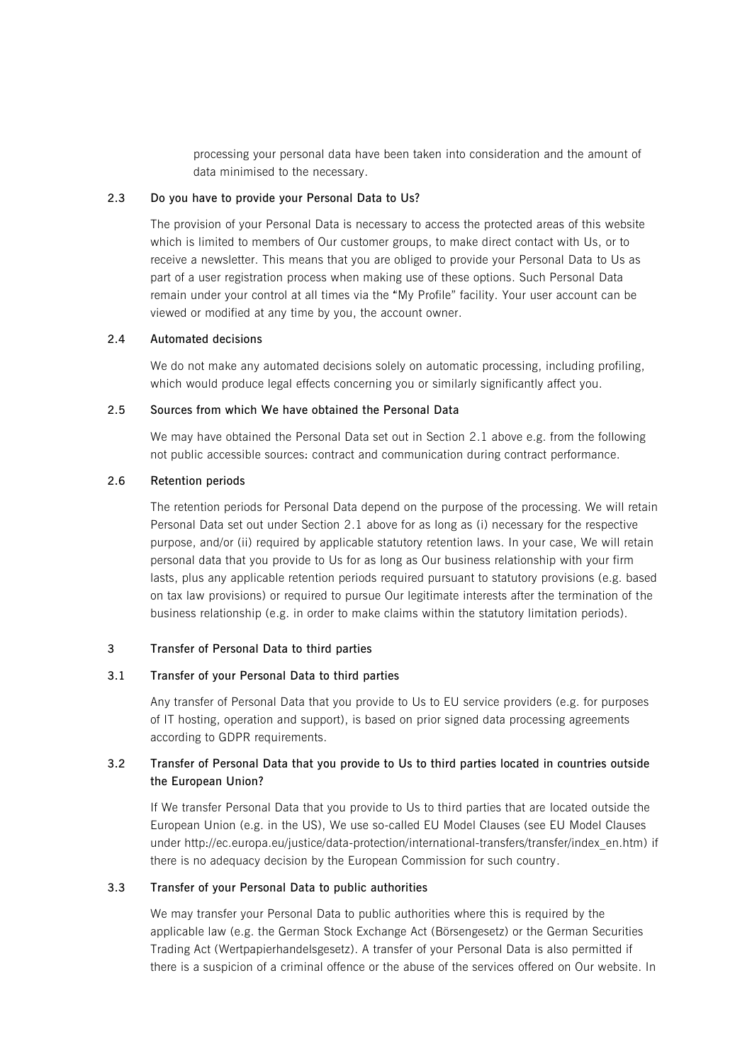processing your personal data have been taken into consideration and the amount of data minimised to the necessary.

#### **2.3 Do you have to provide your Personal Data to Us?**

The provision of your Personal Data is necessary to access the protected areas of this website which is limited to members of Our customer groups, to make direct contact with Us, or to receive a newsletter. This means that you are obliged to provide your Personal Data to Us as part of a user registration process when making use of these options. Such Personal Data remain under your control at all times via the "My Profile" facility. Your user account can be viewed or modified at any time by you, the account owner.

### **2.4 Automated decisions**

We do not make any automated decisions solely on automatic processing, including profiling, which would produce legal effects concerning you or similarly significantly affect you.

# **2.5 Sources from which We have obtained the Personal Data**

We may have obtained the Personal Data set out in Section 2.1 above e.g. from the following not public accessible sources: contract and communication during contract performance.

# **2.6 Retention periods**

The retention periods for Personal Data depend on the purpose of the processing. We will retain Personal Data set out under Section 2.1 above for as long as (i) necessary for the respective purpose, and/or (ii) required by applicable statutory retention laws. In your case, We will retain personal data that you provide to Us for as long as Our business relationship with your firm lasts, plus any applicable retention periods required pursuant to statutory provisions (e.g. based on tax law provisions) or required to pursue Our legitimate interests after the termination of the business relationship (e.g. in order to make claims within the statutory limitation periods).

### **3 Transfer of Personal Data to third parties**

#### **3.1 Transfer of your Personal Data to third parties**

Any transfer of Personal Data that you provide to Us to EU service providers (e.g. for purposes of IT hosting, operation and support), is based on prior signed data processing agreements according to GDPR requirements.

# **3.2 Transfer of Personal Data that you provide to Us to third parties located in countries outside the European Union?**

If We transfer Personal Data that you provide to Us to third parties that are located outside the European Union (e.g. in the US), We use so-called EU Model Clauses (see EU Model Clauses under http://ec.europa.eu/justice/data-protection/international-transfers/transfer/index\_en.htm) if there is no adequacy decision by the European Commission for such country.

#### **3.3 Transfer of your Personal Data to public authorities**

We may transfer your Personal Data to public authorities where this is required by the applicable law (e.g. the German Stock Exchange Act (Börsengesetz) or the German Securities Trading Act (Wertpapierhandelsgesetz). A transfer of your Personal Data is also permitted if there is a suspicion of a criminal offence or the abuse of the services offered on Our website. In